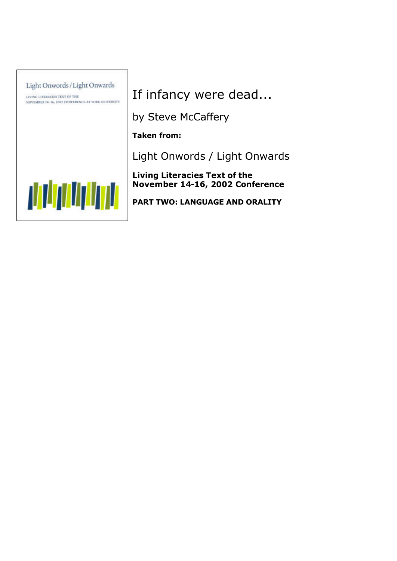

If infancy were dead...

by Steve McCaffery

**Taken from:**

Light Onwords / Light Onwards

**Living Literacies Text of the November 14-16, 2002 Conference**

**PART TWO: LANGUAGE AND ORALITY**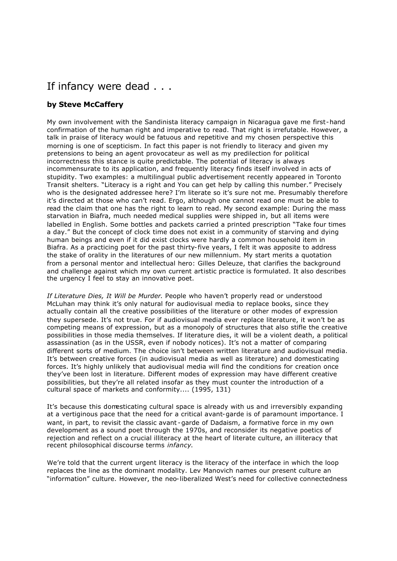## If infancy were dead . . .

## **by Steve McCaffery**

My own involvement with the Sandinista literacy campaign in Nicaragua gave me first-hand confirmation of the human right and imperative to read. That right is irrefutable. However, a talk in praise of literacy would be fatuous and repetitive and my chosen perspective this morning is one of scepticism. In fact this paper is not friendly to literacy and given my pretensions to being an agent provocateur as well as my predilection for political incorrectness this stance is quite predictable. The potential of literacy is always incommensurate to its application, and frequently literacy finds itself involved in acts of stupidity. Two examples: a multilingual public advertisement recently appeared in Toronto Transit shelters. "Literacy is a right and You can get help by calling this number." Precisely who is the designated addressee here? I'm literate so it's sure not me. Presumably therefore it's directed at those who can't read. Ergo, although one cannot read one must be able to read the claim that one has the right to learn to read. My second example: During the mass starvation in Biafra, much needed medical supplies were shipped in, but all items were labelled in English. Some bottles and packets carried a printed prescription "Take four times a day." But the concept of clock time does not exist in a community of starving and dying human beings and even if it did exist clocks were hardly a common household item in Biafra. As a practicing poet for the past thirty-five years, I felt it was apposite to address the stake of orality in the literatures of our new millennium. My start merits a quotation from a personal mentor and intellectual hero: Gilles Deleuze, that clarifies the background and challenge against which my own current artistic practice is formulated. It also describes the urgency I feel to stay an innovative poet.

*If Literature Dies, It Will be Murder*. People who haven't properly read or understood McLuhan may think it's only natural for audiovisual media to replace books, since they actually contain all the creative possibilities of the literature or other modes of expression they supersede. It's not true. For if audiovisual media ever replace literature, it won't be as competing means of expression, but as a monopoly of structures that also stifle the creative possibilities in those media themselves. If literature dies, it will be a violent death, a political assassination (as in the USSR, even if nobody notices). It's not a matter of comparing different sorts of medium. The choice isn't between written literature and audiovisual media. It's between creative forces (in audiovisual media as well as literature) and domesticating forces. It's highly unlikely that audiovisual media will find the conditions for creation once they've been lost in literature. Different modes of expression may have different creative possibilities, but they're all related insofar as they must counter the introduction of a cultural space of markets and conformity.... (1995, 131)

It's because this domesticating cultural space is already with us and irreversibly expanding at a vertiginous pace that the need for a critical avant-garde is of paramount importance. I want, in part, to revisit the classic avant-garde of Dadaism, a formative force in my own development as a sound poet through the 1970s, and reconsider its negative poetics of rejection and reflect on a crucial illiteracy at the heart of literate culture, an illiteracy that recent philosophical discourse terms *infancy*.

We're told that the current urgent literacy is the literacy of the interface in which the loop replaces the line as the dominant modality. Lev Manovich names our present culture an "information" culture. However, the neo-liberalized West's need for collective connectedness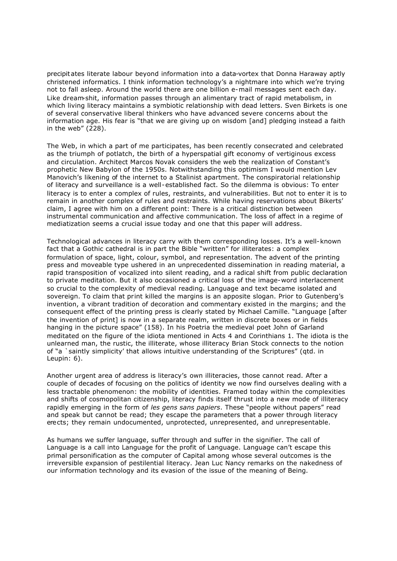precipitates literate labour beyond information into a data-vortex that Donna Haraway aptly christened informatics. I think information technology's a nightmare into which we're trying not to fall asleep. Around the world there are one billion e-mail messages sent each day. Like dream-shit, information passes through an alimentary tract of rapid metabolism, in which living literacy maintains a symbiotic relationship with dead letters. Sven Birkets is one of several conservative liberal thinkers who have advanced severe concerns about the information age. His fear is "that we are giving up on wisdom [and] pledging instead a faith in the web" (228).

The Web, in which a part of me participates, has been recently consecrated and celebrated as the triumph of potlatch, the birth of a hyperspatial gift economy of vertiginous excess and circulation. Architect Marcos Novak considers the web the realization of Constant's prophetic New Babylon of the 1950s. Notwithstanding this optimism I would mention Lev Manovich's likening of the internet to a Stalinist apartment. The conspiratorial relationship of literacy and surveillance is a well-established fact. So the dilemma is obvious: To enter literacy is to enter a complex of rules, restraints, and vulnerabilities. But not to enter it is to remain in another complex of rules and restraints. While having reservations about Bikerts' claim, I agree with him on a different point: There is a critical distinction between instrumental communication and affective communication. The loss of affect in a regime of mediatization seems a crucial issue today and one that this paper will address.

Technological advances in literacy carry with them corresponding losses. It's a well-known fact that a Gothic cathedral is in part the Bible "written" for illiterates: a complex formulation of space, light, colour, symbol, and representation. The advent of the printing press and moveable type ushered in an unprecedented dissemination in reading material, a rapid transposition of vocalized into silent reading, and a radical shift from public declaration to private meditation. But it also occasioned a critical loss of the image-word interlacement so crucial to the complexity of medieval reading. Language and text became isolated and sovereign. To claim that print killed the margins is an apposite slogan. Prior to Gutenberg's invention, a vibrant tradition of decoration and commentary existed in the margins; and the consequent effect of the printing press is clearly stated by Michael Camille. "Language [after the invention of print] is now in a separate realm, written in discrete boxes or in fields hanging in the picture space" (158). In his Poetria the medieval poet John of Garland meditated on the figure of the idiota mentioned in Acts 4 and Corinthians 1. The idiota is the unlearned man, the rustic, the illiterate, whose illiteracy Brian Stock connects to the notion of "a `saintly simplicity' that allows intuitive understanding of the Scriptures" (qtd. in Leupin: 6).

Another urgent area of address is literacy's own illiteracies, those cannot read. After a couple of decades of focusing on the politics of identity we now find ourselves dealing with a less tractable phenomenon: the mobility of identities. Framed today within the complexities and shifts of cosmopolitan citizenship, literacy finds itself thrust into a new mode of illiteracy rapidly emerging in the form of *les gens sans papiers*. These "people without papers" read and speak but cannot be read; they escape the parameters that a power through literacy erects; they remain undocumented, unprotected, unrepresented, and unrepresentable.

As humans we suffer language, suffer through and suffer in the signifier. The call of Language is a call into Language for the profit of Language. Language can't escape this primal personification as the computer of Capital among whose several outcomes is the irreversible expansion of pestilential literacy. Jean Luc Nancy remarks on the nakedness of our information technology and its evasion of the issue of the meaning of Being.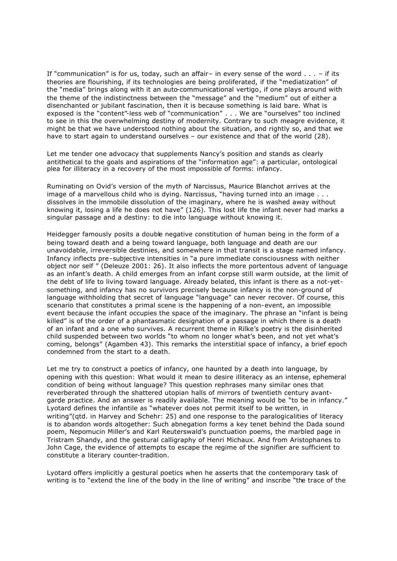If "communication" is for us, today, such an affair- in every sense of the word  $\dots$  - if its theories are flourishing, if its technologies are being proliferated, if the "mediatization" of the "media" brings along with it an auto-communicational vertigo, if one plays around with the theme of the indistinctness between the "message" and the "medium" out of either a disenchanted or jubilant fascination, then it is because something is laid bare. What is exposed is the "content"-less web of "communication" . . . We are "ourselves" too inclined to see in this the overwhelming destiny of modernity. Contrary to such meagre evidence, it might be that we have understood nothing about the situation, and rightly so, and that we have to start again to understand ourselves – our existence and that of the world (28).

Let me tender one advocacy that supplements Nancy's position and stands as clearly antithetical to the goals and aspirations of the "information age": a particular, ontological plea for illiteracy in a recovery of the most impossible of forms: infancy.

Ruminating on Ovid's version of the myth of Narcissus, Maurice Blanchot arrives at the image of a marvellous child who is dying. Narcissus, "having turned into an image . . . dissolves in the immobile dissolution of the imaginary, where he is washed away without knowing it, losing a life he does not have" (126). This lost life the infant never had marks a singular passage and a destiny: to die into language without knowing it.

Heidegger famously posits a double negative constitution of human being in the form of a being toward death and a being toward language, both language and death are our unavoidable, irreversible destinies, and somewhere in that transit is a stage named infancy. Infancy inflects pre-subjective intensities in "a pure immediate consciousness with neither object nor self " (Deleuze 2001: 26). It also inflects the more portentous advent of language as an infant's death. A child emerges from an infant corpse still warm outside, at the limit of the debt of life to living toward language. Already belated, this infant is there as a not-yetsomething, and infancy has no survivors precisely because infancy is the non-ground of language withholding that secret of language "language" can never recover. Of course, this scenario that constitutes a primal scene is the happening of a non-event, an impossible event because the infant occupies the space of the imaginary. The phrase an "infant is being killed" is of the order of a phantasmatic designation of a passage in which there is a death of an infant and a one who survives. A recurrent theme in Rilke's poetry is the disinherited child suspended between two worlds "to whom no longer what's been, and not yet what's coming, belongs" (Agamben 43). This remarks the interstitial space of infancy, a brief epoch condemned from the start to a death.

Let me try to construct a poetics of infancy, one haunted by a death into language, by opening with this question: What would it mean to desire illiteracy as an intense, ephemeral condition of being without language? This question rephrases many similar ones that reverberated through the shattered utopian halls of mirrors of twentieth century avantgarde practice. And an answer is readily available. The meaning would be "to be in infancy." Lyotard defines the infantile as "whatever does not permit itself to be written, in writing"(qtd. in Harvey and Schehr: 25) and one response to the paralogicalities of literacy is to abandon words altogether: Such abnegation forms a key tenet behind the Dada sound poem, Nepomucin Miller's and Karl Reuterswald's punctuation poems, the marbled page in Tristram Shandy, and the gestural calligraphy of Henri Michaux. And from Aristophanes to John Cage, the evidence of attempts to escape the regime of the signifier are sufficient to constitute a literary counter-tradition.

Lyotard offers implicitly a gestural poetics when he asserts that the contemporary task of writing is to "extend the line of the body in the line of writing" and inscribe "the trace of the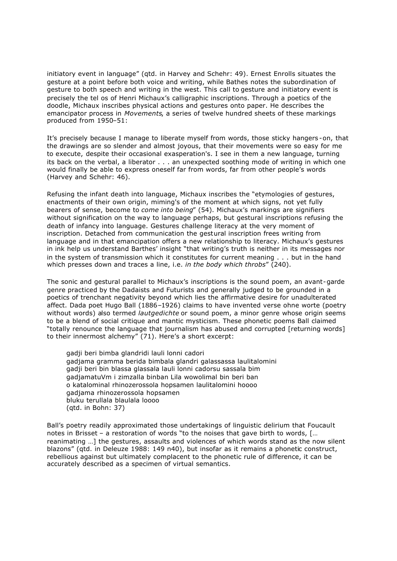initiatory event in language" (qtd. in Harvey and Schehr: 49). Ernest Enrolls situates the gesture at a point before both voice and writing, while Bathes notes the subordination of gesture to both speech and writing in the west. This call to gesture and initiatory event is precisely the tel os of Henri Michaux's calligraphic inscriptions. Through a poetics of the doodle, Michaux inscribes physical actions and gestures onto paper. He describes the emancipator process in *Movements*, a series of twelve hundred sheets of these markings produced from 1950–51:

It's precisely because I manage to liberate myself from words, those sticky hangers -on, that the drawings are so slender and almost joyous, that their movements were so easy for me to execute, despite their occasional exasperation's. I see in them a new language, turning its back on the verbal, a liberator . . . an unexpected soothing mode of writing in which one would finally be able to express oneself far from words, far from other people's words (Harvey and Schehr: 46).

Refusing the infant death into language, Michaux inscribes the "etymologies of gestures, enactments of their own origin, miming's of the moment at which signs, not yet fully bearers of sense, become to *come into being*" (54). Michaux's markings are signifiers without signification on the way to language perhaps, but gestural inscriptions refusing the death of infancy into language. Gestures challenge literacy at the very moment of inscription. Detached from communication the gestural inscription frees writing from language and in that emancipation offers a new relationship to literacy. Michaux's gestures in ink help us understand Barthes' insight "that writing's truth is neither in its messages nor in the system of transmission which it constitutes for current meaning . . . but in the hand which presses down and traces a line, i.e. *in the body which throbs*" (240).

The sonic and gestural parallel to Michaux's inscriptions is the sound poem, an avant-garde genre practiced by the Dadaists and Futurists and generally judged to be grounded in a poetics of trenchant negativity beyond which lies the affirmative desire for unadulterated affect. Dada poet Hugo Ball (1886–1926) claims to have invented verse ohne worte (poetry without words) also termed *lautgedichte* or sound poem, a minor genre whose origin seems to be a blend of social critique and mantic mysticism. These phonetic poems Ball claimed "totally renounce the language that journalism has abused and corrupted [returning words] to their innermost alchemy" (71). Here's a short excerpt:

gadji beri bimba glandridi lauli lonni cadori gadjama gramma berida bimbala glandri galassassa laulitalomini gadji beri bin blassa glassala lauli lonni cadorsu sassala bim gadjamatuVm i zimzalla binban Lila wowolimal bin beri ban o katalominal rhinozerossola hopsamen laulitalomini hoooo gadjama rhinozerossola hopsamen bluku terullala blaulala loooo (qtd. in Bohn: 37)

Ball's poetry readily approximated those undertakings of linguistic delirium that Foucault notes in Brisset – a restoration of words "to the noises that gave birth to words, [… reanimating …] the gestures, assaults and violences of which words stand as the now silent blazons" (qtd. in Deleuze 1988: 149 n40), but insofar as it remains a phonetic construct, rebellious against but ultimately complacent to the phonetic rule of difference, it can be accurately described as a specimen of virtual semantics.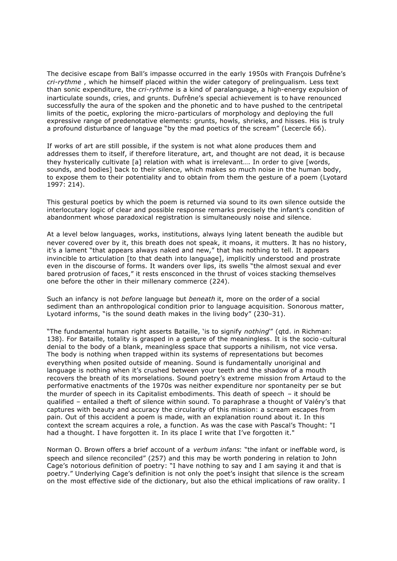The decisive escape from Ball's impasse occurred in the early 1950s with François Dufrêne's *cri-rythme* , which he himself placed within the wider category of prelingualism. Less text than sonic expenditure, the *cri-rythme* is a kind of paralanguage, a high-energy expulsion of inarticulate sounds, cries, and grunts. Dufrêne's special achievement is to have renounced successfully the aura of the spoken and the phonetic and to have pushed to the centripetal limits of the poetic, exploring the micro-particulars of morphology and deploying the full expressive range of predenotative elements: grunts, howls, shrieks, and hisses. His is truly a profound disturbance of language "by the mad poetics of the scream" (Lecercle 66).

If works of art are still possible, if the system is not what alone produces them and addresses them to itself, if therefore literature, art, and thought are not dead, it is because they hysterically cultivate [a] relation with what is irrelevant…. In order to give [words, sounds, and bodies] back to their silence, which makes so much noise in the human body, to expose them to their potentiality and to obtain from them the gesture of a poem (Lyotard 1997: 214).

This gestural poetics by which the poem is returned via sound to its own silence outside the interlocutary logic of clear and possible response remarks precisely the infant's condition of abandonment whose paradoxical registration is simultaneously noise and silence.

At a level below languages, works, institutions, always lying latent beneath the audible but never covered over by it, this breath does not speak, it moans, it mutters. It has no history, it's a lament "that appears always naked and new," that has nothing to tell. It appears invincible to articulation [to that death into language], implicitly understood and prostrate even in the discourse of forms. It wanders over lips, its swells "the almost sexual and ever bared protrusion of faces," it rests ensconced in the thrust of voices stacking themselves one before the other in their millenary commerce (224).

Such an infancy is not *before* language but *beneath* it, more on the order of a social sediment than an anthropological condition prior to language acquisition. Sonorous matter, Lyotard informs, "is the sound death makes in the living body" (230–31).

"The fundamental human right asserts Bataille, 'is to signify *nothing*'" (qtd. in Richman: 138). For Bataille, totality is grasped in a gesture of the meaningless. It is the socio -cultural denial to the body of a blank, meaningless space that supports a nihilism, not vice versa. The body is nothing when trapped within its systems of representations but becomes everything when posited outside of meaning. Sound is fundamentally unoriginal and language is nothing when it's crushed between your teeth and the shadow of a mouth recovers the breath of its morselations. Sound poetry's extreme mission from Artaud to the performative enactments of the 1970s was neither expenditure nor spontaneity per se but the murder of speech in its Capitalist embodiments. This death of speech – it should be qualified – entailed a theft of silence within sound. To paraphrase a thought of Valéry's that captures with beauty and accuracy the circularity of this mission: a scream escapes from pain. Out of this accident a poem is made, with an explanation round about it. In this context the scream acquires a role, a function. As was the case with Pascal's Thought: "I had a thought. I have forgotten it. In its place I write that I've forgotten it."

Norman O. Brown offers a brief account of a *verbum infans*: "the infant or ineffable word, is speech and silence reconciled" (257) and this may be worth pondering in relation to John Cage's notorious definition of poetry: "I have nothing to say and I am saying it and that is poetry." Underlying Cage's definition is not only the poet's insight that silence is the scream on the most effective side of the dictionary, but also the ethical implications of raw orality. I